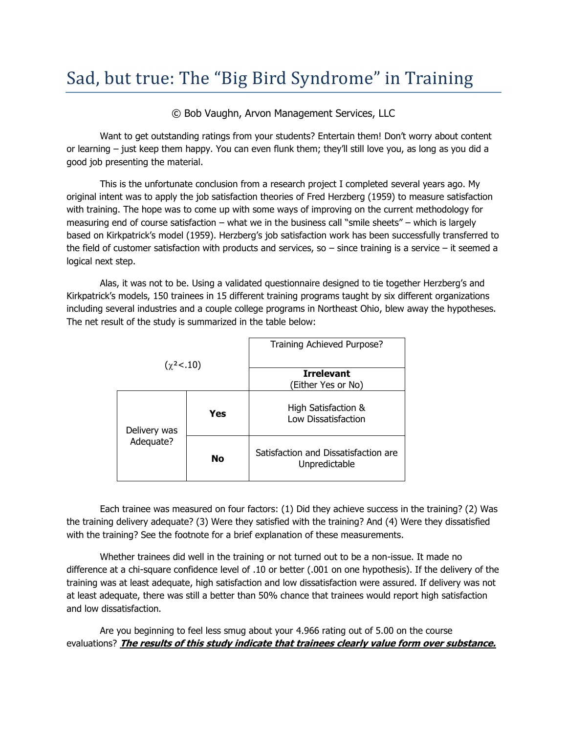## Sad, but true: The "Big Bird Syndrome" in Training

© Bob Vaughn, Arvon Management Services, LLC

Want to get outstanding ratings from your students? Entertain them! Don't worry about content or learning – just keep them happy. You can even flunk them; they'll still love you, as long as you did a good job presenting the material.

This is the unfortunate conclusion from a research project I completed several years ago. My original intent was to apply the job satisfaction theories of Fred Herzberg (1959) to measure satisfaction with training. The hope was to come up with some ways of improving on the current methodology for measuring end of course satisfaction – what we in the business call "smile sheets" – which is largely based on Kirkpatrick's model (1959). Herzberg's job satisfaction work has been successfully transferred to the field of customer satisfaction with products and services, so  $-$  since training is a service  $-$  it seemed a logical next step.

Alas, it was not to be. Using a validated questionnaire designed to tie together Herzberg's and Kirkpatrick's models, 150 trainees in 15 different training programs taught by six different organizations including several industries and a couple college programs in Northeast Ohio, blew away the hypotheses. The net result of the study is summarized in the table below:

| $(\chi^2<.10)$            |     | Training Achieved Purpose?                            |
|---------------------------|-----|-------------------------------------------------------|
|                           |     | <b>Irrelevant</b>                                     |
|                           |     | (Either Yes or No)                                    |
| Delivery was<br>Adequate? | Yes | High Satisfaction &<br>Low Dissatisfaction            |
|                           | No  | Satisfaction and Dissatisfaction are<br>Unpredictable |

Each trainee was measured on four factors: (1) Did they achieve success in the training? (2) Was the training delivery adequate? (3) Were they satisfied with the training? And (4) Were they dissatisfied with the training? See the footnote for a brief explanation of these measurements.

Whether trainees did well in the training or not turned out to be a non-issue. It made no difference at a chi-square confidence level of .10 or better (.001 on one hypothesis). If the delivery of the training was at least adequate, high satisfaction and low dissatisfaction were assured. If delivery was not at least adequate, there was still a better than 50% chance that trainees would report high satisfaction and low dissatisfaction.

Are you beginning to feel less smug about your 4.966 rating out of 5.00 on the course evaluations? **The results of this study indicate that trainees clearly value form over substance.**